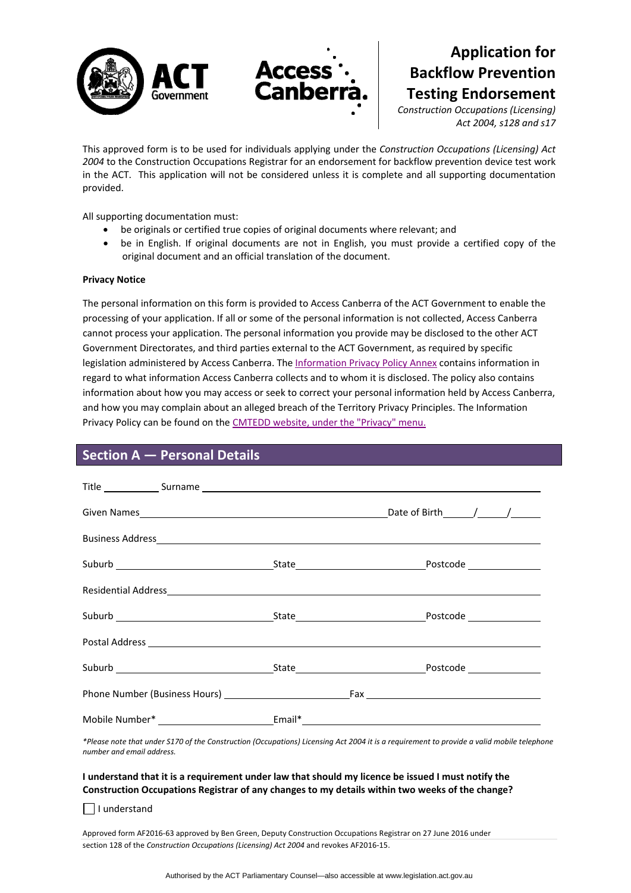



# **Application for Backflow Prevention Testing Endorsement**

*Construction Occupations (Licensing) Act 2004, s128 and s17*

This approved form is to be used for individuals applying under the *Construction Occupations (Licensing) Act 2004* to the Construction Occupations Registrar for an endorsement for backflow prevention device test work in the ACT. This application will not be considered unless it is complete and all supporting documentation provided.

All supporting documentation must:

- be originals or certified true copies of original documents where relevant; and
- be in English. If original documents are not in English, you must provide a certified copy of the original document and an official translation of the document.

### **Privacy Notice**

The personal information on this form is provided to Access Canberra of the ACT Government to enable the processing of your application. If all or some of the personal information is not collected, Access Canberra cannot process your application. The personal information you provide may be disclosed to the other ACT Government Directorates, and third parties external to the ACT Government, as required by specific legislation administered by Access Canberra. The [Information](hhttp://www.cmd.act.gov.au/legal/privacy) Privacy Policy Annex contains information in regard to what information Access Canberra collects and to whom it is disclosed. The policy also contains information about how you may access or seek to correct your personal information held by Access Canberra, and how you may complain about an alleged breach of the Territory Privacy Principles. The Information Privacy Policy can be found on the CMTEDD website, under the ["Privacy"](http://www.cmd.act.gov.au/legal/privacy) menu.

### **Section A — Personal Details**

\*Please note that under S170 of the Construction (Occupations) Licensing Act 2004 it is a requirement to provide a valid mobile telephone *number and email address.* 

### I understand that it is a requirement under law that should my licence be issued I must notify the **Construction Occupations Registrar of any changes to my details within two weeks of the change?**

 $\Box$  I understand

Approved form AF2016‐63 approved by Ben Green, Deputy Construction Occupations Registrar on 27 June 2016 under section 128 of the *Construction Occupations (Licensing) Act 2004* and revokes AF2016-15.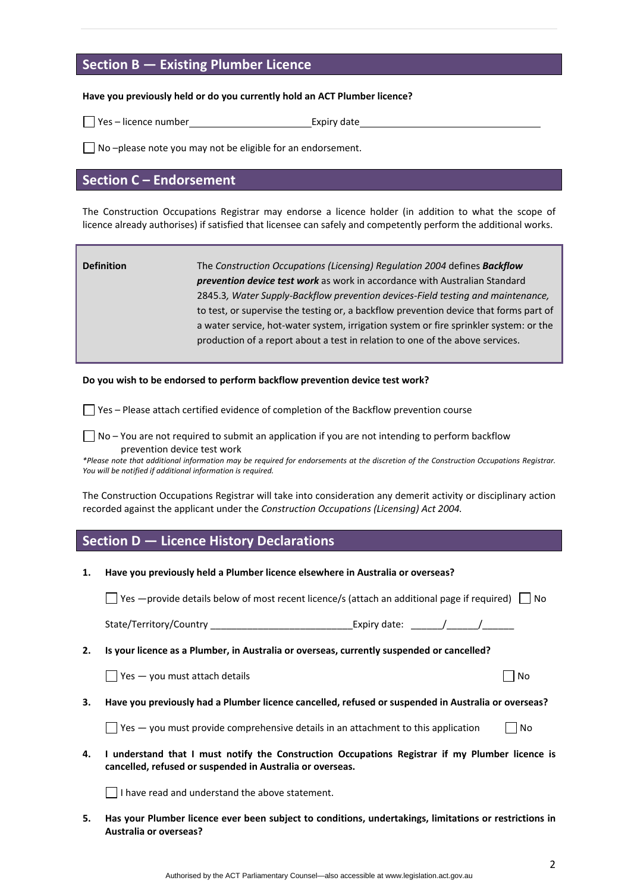## **Section B — Existing Plumber Licence**

#### **Have you previously held or do you currently hold an ACT Plumber licence?**

□ Yes – licence number Expiry date

 $\Box$  No –please note you may not be eligible for an endorsement.

### **Section C – Endorsement**

The Construction Occupations Registrar may endorse a licence holder (in addition to what the scope of licence already authorises) if satisfied that licensee can safely and competently perform the additional works.

| <b>Definition</b> | The Construction Occupations (Licensing) Regulation 2004 defines Backflow<br><b>prevention device test work</b> as work in accordance with Australian Standard |
|-------------------|----------------------------------------------------------------------------------------------------------------------------------------------------------------|
|                   | 2845.3, Water Supply-Backflow prevention devices-Field testing and maintenance,                                                                                |
|                   | to test, or supervise the testing or, a backflow prevention device that forms part of                                                                          |
|                   | a water service, hot-water system, irrigation system or fire sprinkler system: or the                                                                          |
|                   | production of a report about a test in relation to one of the above services.                                                                                  |

#### **Do you wish to be endorsed to perform backflow prevention device test work?**

 $\Box$  Yes – Please attach certified evidence of completion of the Backflow prevention course

 $\Box$  No – You are not required to submit an application if you are not intending to perform backflow prevention device test work

\*Please note that additional information may be required for endorsements at the discretion of the Construction Occupations Registrar. *You will be notified if additional information is required.* 

The Construction Occupations Registrar will take into consideration any demerit activity or disciplinary action recorded against the applicant under the *Construction Occupations (Licensing) Act 2004.*

### **Section D — Licence History Declarations**

| Have you previously held a Plumber licence elsewhere in Australia or overseas? |
|--------------------------------------------------------------------------------|
|                                                                                |

 $\Box$  Yes —provide details below of most recent licence/s (attach an additional page if required)  $\Box$  No

State/Territory/Country \_\_\_\_\_\_\_\_\_\_\_\_\_\_\_\_\_\_\_\_\_\_\_\_\_\_\_Expiry date: \_\_\_\_\_\_/\_\_\_\_\_\_/\_\_\_\_\_\_

**2. Is your licence as a Plumber, in Australia or overseas, currently suspended or cancelled?** 

 $\Box$  Yes — you must attach details  $\Box$  No

3. Have you previously had a Plumber licence cancelled, refused or suspended in Australia or overseas?

 $\Box$  Yes — you must provide comprehensive details in an attachment to this application  $\Box$  No

**4. I understand that I must notify the Construction Occupations Registrar if my Plumber licence is cancelled, refused or suspended in Australia or overseas.** 

 $\Box$  I have read and understand the above statement.

**5. Has your Plumber licence ever been subject to conditions, undertakings, limitations or restrictions in Australia or overseas?**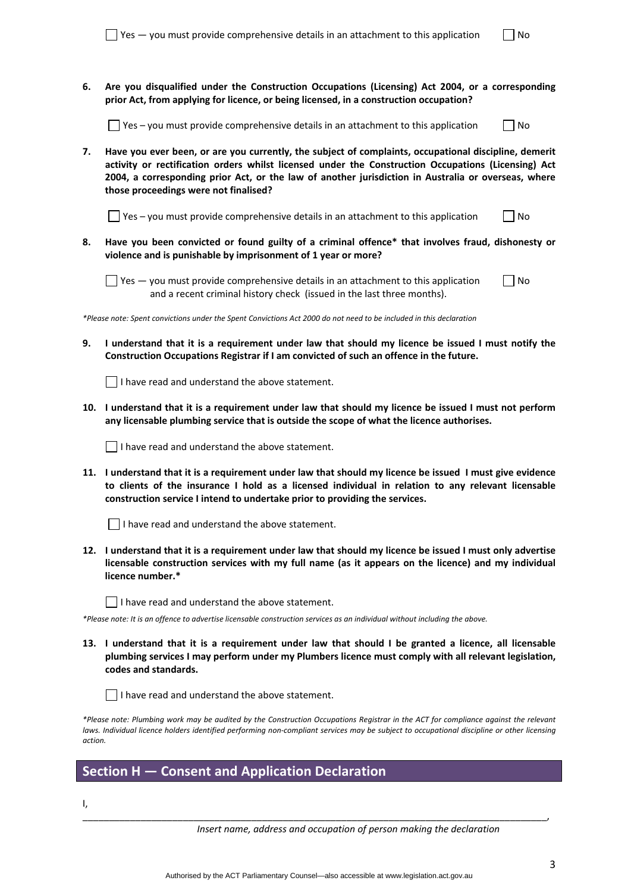**6. Are you disqualified under the Construction Occupations (Licensing) Act 2004, or a corresponding prior Act, from applying for licence, or being licensed, in a construction occupation?** 

 $\Box$  Yes – you must provide comprehensive details in an attachment to this application  $\Box$  No

**7. Have you ever been, or are you currently, the subject of complaints, occupational discipline, demerit activity or rectification orders whilst licensed under the Construction Occupations (Licensing) Act 2004, a corresponding prior Act, or the law of another jurisdiction in Australia or overseas, where those proceedings were not finalised?** 

 $\Box$  Yes – you must provide comprehensive details in an attachment to this application  $\Box$  No

**8. Have you been convicted or found guilty of a criminal offence\* that involves fraud, dishonesty or violence and is punishable by imprisonment of 1 year or more?** 

 $\Box$  Yes — you must provide comprehensive details in an attachment to this application  $\Box$  No and a recent criminal history check (issued in the last three months).

\*Please note: Spent convictions under the Spent Convictions Act 2000 do not need to be included in this declaration

9. I understand that it is a requirement under law that should my licence be issued I must notify the **Construction Occupations Registrar if I am convicted of such an offence in the future.** 

 $\Box$  I have read and understand the above statement.

10. I understand that it is a requirement under law that should my licence be issued I must not perform **any licensable plumbing service that is outside the scope of what the licence authorises.** 

I have read and understand the above statement.

11. I understand that it is a requirement under law that should my licence be issued I must give evidence **to clients of the insurance I hold as a licensed individual in relation to any relevant licensable construction service I intend to undertake prior to providing the services.**

 $\Box$  I have read and understand the above statement.

12. I understand that it is a requirement under law that should my licence be issued I must only advertise **licensable construction services with my full name (as it appears on the licence) and my individual licence number.\*** 

 $\Box$  I have read and understand the above statement.

\*Please note: It is an offence to advertise licensable construction services as an individual without including the above.

13. I understand that it is a requirement under law that should I be granted a licence, all licensable **plumbing services I may perform under my Plumbers licence must comply with all relevant legislation, codes and standards.** 

I have read and understand the above statement.

\*Please note: Plumbing work may be audited by the Construction Occupations Registrar in the ACT for compliance against the relevant laws. Individual licence holders identified performing non-compliant services may be subject to occupational discipline or other licensing *action.*

### **Section H — Consent and Application Declaration**

 $\mathbf{I}$ .

| Insert name, address and occupation of person making the declaration |  |  |
|----------------------------------------------------------------------|--|--|
|----------------------------------------------------------------------|--|--|

\_\_\_\_\_\_\_\_\_\_\_\_\_\_\_\_\_\_\_\_\_\_\_\_\_\_\_\_\_\_\_\_\_\_\_\_\_\_\_\_\_\_\_\_\_\_\_\_\_\_\_\_\_\_\_\_\_\_\_\_\_\_\_\_\_\_\_\_\_\_\_\_\_\_\_\_\_\_\_\_\_\_\_\_\_\_\_\_,